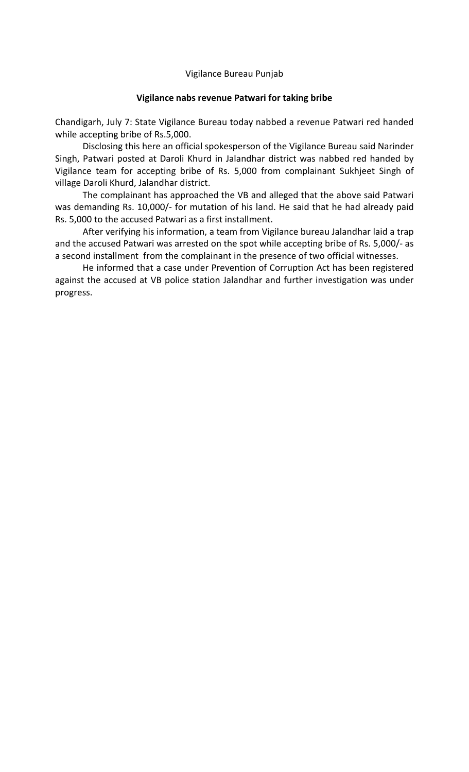## Vigilance Bureau Punjab

## **Vigilance nabs revenue Patwari for taking bribe**

Chandigarh, July 7: State Vigilance Bureau today nabbed a revenue Patwari red handed while accepting bribe of Rs.5,000.

Disclosing this here an official spokesperson of the Vigilance Bureau said Narinder Singh, Patwari posted at Daroli Khurd in Jalandhar district was nabbed red handed by Vigilance team for accepting bribe of Rs. 5,000 from complainant Sukhjeet Singh of village Daroli Khurd, Jalandhar district.

The complainant has approached the VB and alleged that the above said Patwari was demanding Rs. 10,000/- for mutation of his land. He said that he had already paid Rs. 5,000 to the accused Patwari as a first installment.

After verifying his information, a team from Vigilance bureau Jalandhar laid a trap and the accused Patwari was arrested on the spot while accepting bribe of Rs. 5,000/- as a second installment from the complainant in the presence of two official witnesses.

He informed that a case under Prevention of Corruption Act has been registered against the accused at VB police station Jalandhar and further investigation was under progress.